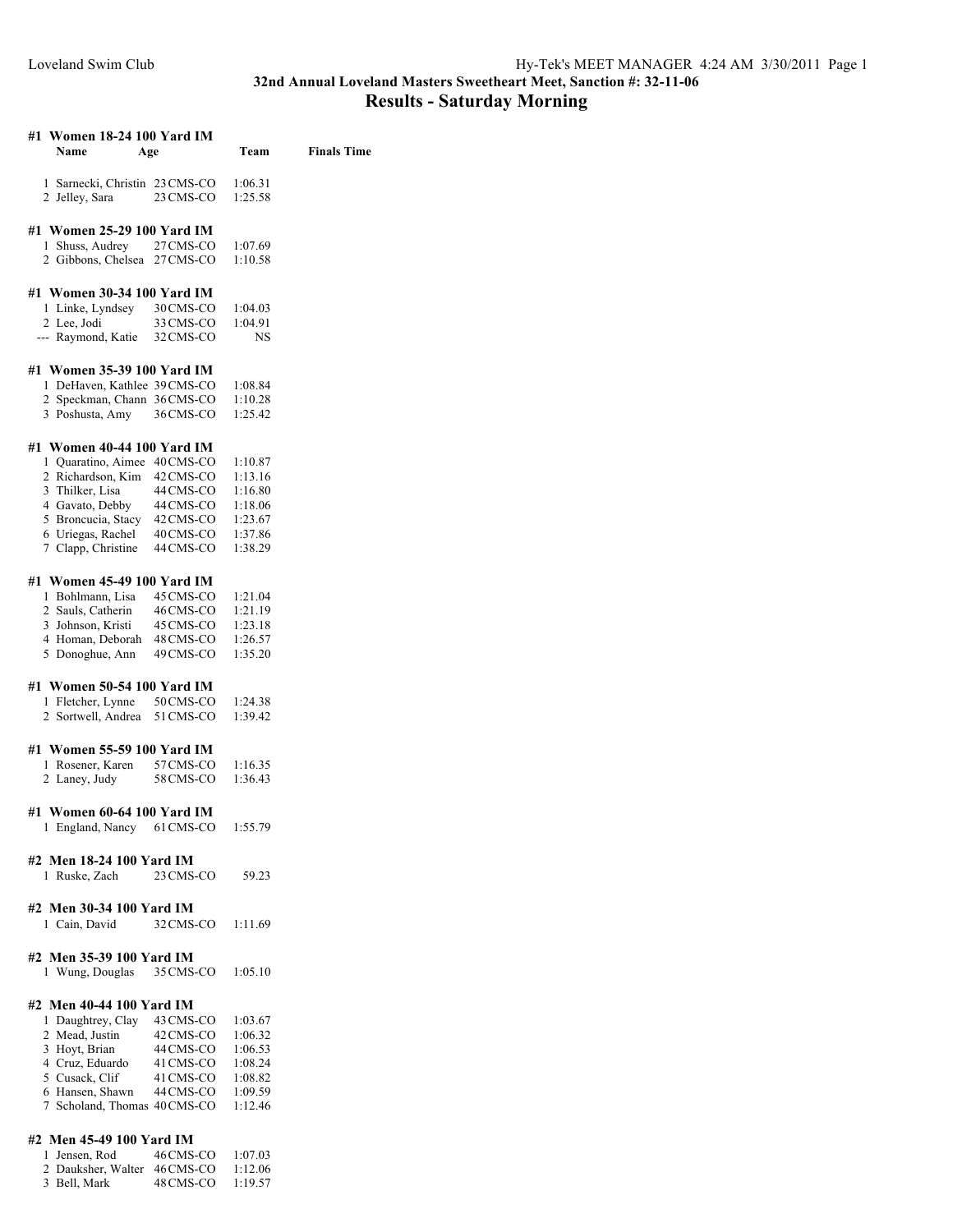## **32nd Annual Loveland Masters Sweetheart Meet, Sanction #: 32-11-06 Results - Saturday Morning**

| #1 Women 18-24 100 Yard IM<br>Name<br>Age        |                        | Team               | <b>Finals Time</b> |
|--------------------------------------------------|------------------------|--------------------|--------------------|
|                                                  |                        |                    |                    |
| 1 Sarnecki, Christin 23 CMS-CO<br>2 Jelley, Sara | 23 CMS-CO              | 1:06.31<br>1:25.58 |                    |
|                                                  |                        |                    |                    |
| #1 Women 25-29 100 Yard IM                       |                        |                    |                    |
| 1 Shuss, Audrey                                  | 27 CMS-CO              | 1:07.69            |                    |
| 2 Gibbons, Chelsea 27 CMS-CO                     |                        | 1:10.58            |                    |
| #1 Women 30-34 100 Yard IM                       |                        |                    |                    |
| 1 Linke, Lyndsey                                 | 30 CMS-CO              | 1:04.03            |                    |
| 2 Lee, Jodi                                      | 33 CMS-CO              | 1:04.91            |                    |
| --- Raymond, Katie                               | 32 CMS-CO              | NS                 |                    |
|                                                  |                        |                    |                    |
| #1 Women 35-39 100 Yard IM                       |                        |                    |                    |
| 1 DeHaven, Kathlee 39 CMS-CO                     |                        | 1:08.84            |                    |
| 2 Speckman, Chann 36 CMS-CO                      |                        | 1:10.28            |                    |
| 3 Poshusta, Amy                                  | 36CMS-CO               | 1:25.42            |                    |
| #1 Women 40-44 100 Yard IM                       |                        |                    |                    |
| 1 Quaratino, Aimee 40 CMS-CO                     |                        | 1:10.87            |                    |
| 2 Richardson, Kim                                | 42 CMS-CO              | 1:13.16            |                    |
| 3 Thilker, Lisa                                  | 44 CMS-CO              | 1:16.80            |                    |
| 4 Gavato, Debby                                  | 44 CMS-CO              | 1:18.06            |                    |
| 5 Broncucia, Stacy 42 CMS-CO                     |                        | 1:23.67            |                    |
| 6 Uriegas, Rachel                                | 40 CMS-CO              | 1:37.86            |                    |
| 7 Clapp, Christine                               | 44 CMS-CO              | 1:38.29            |                    |
| #1 Women 45-49 100 Yard IM                       |                        |                    |                    |
| 1 Bohlmann, Lisa                                 | 45 CMS-CO              | 1:21.04            |                    |
| 2 Sauls, Catherin                                | 46 CMS-CO              | 1:21.19            |                    |
| 3 Johnson, Kristi                                | 45 CMS-CO              | 1:23.18            |                    |
| 4 Homan, Deborah<br>5 Donoghue, Ann              | 48 CMS-CO<br>49 CMS-CO | 1:26.57<br>1:35.20 |                    |
|                                                  |                        |                    |                    |
| #1 Women 50-54 100 Yard IM                       | 50 CMS-CO              |                    |                    |
| 1 Fletcher, Lynne<br>2 Sortwell, Andrea          | 51 CMS-CO              | 1:24.38<br>1:39.42 |                    |
|                                                  |                        |                    |                    |
| #1 Women 55-59 100 Yard IM                       |                        |                    |                    |
| 1 Rosener, Karen 57 CMS-CO                       |                        | 1:16.35            |                    |
| 2 Laney, Judy                                    | 58 CMS-CO              | 1:36.43            |                    |
| #1 Women 60-64 100 Yard IM                       |                        |                    |                    |
| 1 England, Nancy                                 | 61 CMS-CO              | 1:55.79            |                    |
|                                                  |                        |                    |                    |
| #2 Men 18-24 100 Yard IM                         |                        |                    |                    |
| 1 Ruske, Zach                                    | 23 CMS-CO              | 59.23              |                    |
| #2 Men 30-34 100 Yard IM                         |                        |                    |                    |
| 1 Cain, David                                    | 32 CMS-CO              | 1:11.69            |                    |
|                                                  |                        |                    |                    |
| #2 Men 35-39 100 Yard IM                         |                        |                    |                    |
| 1 Wung, Douglas                                  | 35 CMS-CO              | 1:05.10            |                    |
| #2 Men 40-44 100 Yard IM                         |                        |                    |                    |
| 1 Daughtrey, Clay                                | 43 CMS-CO              | 1:03.67            |                    |
| 2 Mead, Justin                                   | 42 CMS-CO              | 1:06.32            |                    |
| 3 Hoyt, Brian                                    | 44 CMS-CO              | 1:06.53            |                    |
| 4 Cruz, Eduardo                                  | 41 CMS-CO              | 1:08.24            |                    |
| 5 Cusack, Clif                                   | 41 CMS-CO              | 1:08.82            |                    |
| 6 Hansen, Shawn                                  | 44 CMS-CO              | 1:09.59            |                    |
| 7 Scholand, Thomas 40 CMS-CO                     |                        | 1:12.46            |                    |

## **#2 Men 45-49 100 Yard IM**

| 1 Jensen, Rod                | 46 CMS-CO | 1:07.03 |
|------------------------------|-----------|---------|
| 2 Dauksher, Walter 46 CMS-CO |           | 1:12.06 |
| 3 Bell, Mark                 | 48 CMS-CO | 1:19.57 |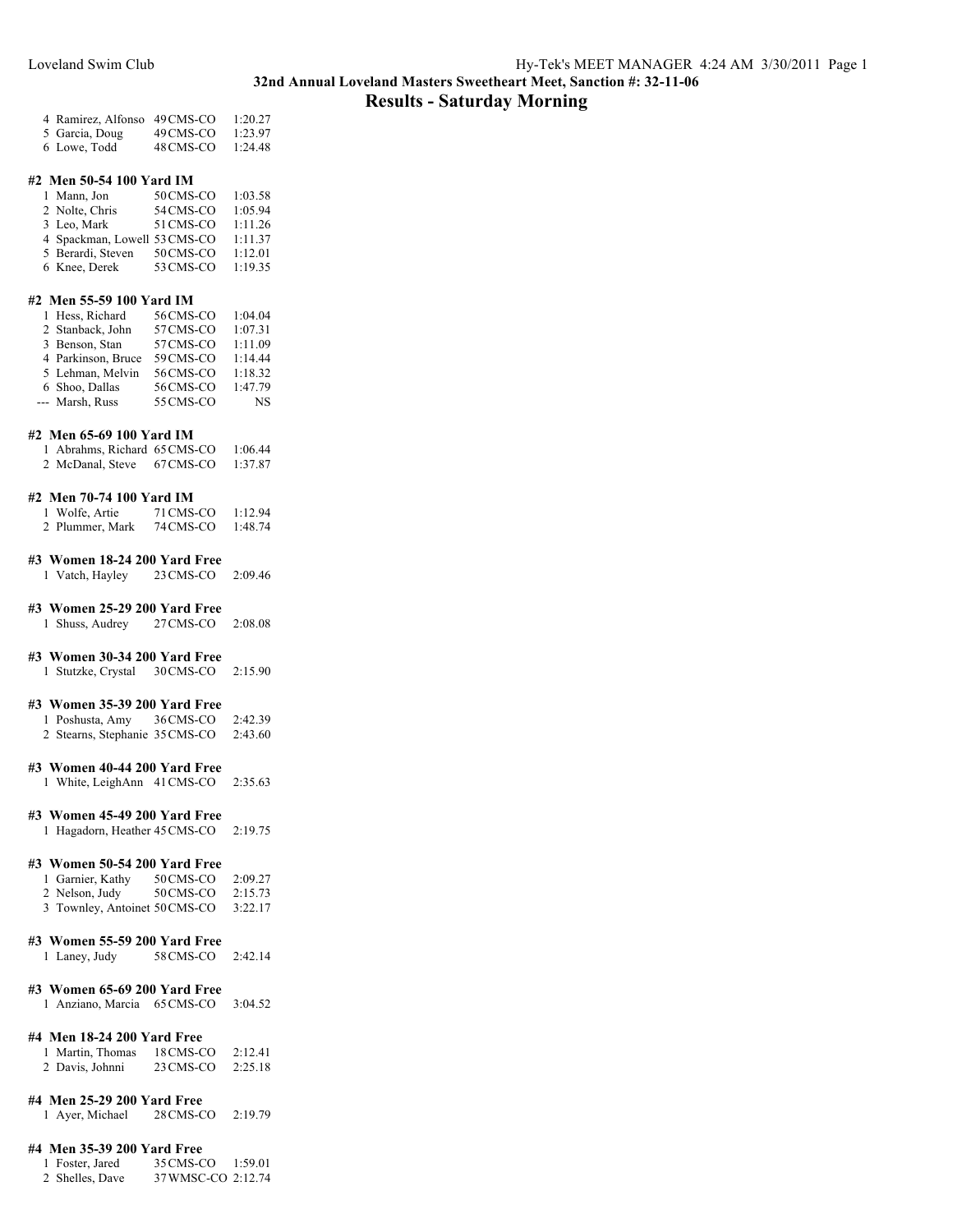## **Results - Saturday Morning**

| 4 Ramirez, Alfonso 49 CMS-CO |           | 1:20.27 |
|------------------------------|-----------|---------|
| 5 Garcia, Doug               | 49 CMS-CO | 1:23.97 |
| 6 Lowe, Todd                 | 48 CMS-CO | 1:24.48 |

### **#2 Men 50-54 100 Yard IM**

| 1 Mann, Jon                  | 50 CMS-CO | 1:03.58 |
|------------------------------|-----------|---------|
| 2 Nolte, Chris               | 54 CMS-CO | 1:05.94 |
| 3 Leo, Mark                  | 51 CMS-CO | 1:11.26 |
| 4 Spackman, Lowell 53 CMS-CO |           | 1:11.37 |
| 5 Berardi, Steven            | 50 CMS-CO | 1:12.01 |
| 6 Knee, Derek                | 53 CMS-CO | 1:19.35 |

## **#2 Men 55-59 100 Yard IM**

| 1 Hess, Richard    | 56 CMS-CO | 1:04.04   |
|--------------------|-----------|-----------|
| 2 Stanback, John   | 57 CMS-CO | 1:07.31   |
| 3 Benson, Stan     | 57 CMS-CO | 1:11.09   |
| 4 Parkinson, Bruce | 59 CMS-CO | 1:14.44   |
| 5 Lehman, Melvin   | 56 CMS-CO | 1:18.32   |
| 6 Shoo, Dallas     | 56 CMS-CO | 1:47.79   |
| --- Marsh, Russ    | 55 CMS-CO | <b>NS</b> |

#### **#2 Men 65-69 100 Yard IM**

| 1 Abrahms, Richard 65 CMS-CO |           | 1:06.44 |
|------------------------------|-----------|---------|
| 2 McDanal, Steve             | 67 CMS-CO | 1:37.87 |

### **#2 Men 70-74 100 Yard IM**

| 1 Wolfe, Artie  | 71 CMS-CO | 1:12.94 |
|-----------------|-----------|---------|
| 2 Plummer, Mark | 74 CMS-CO | 1:48.74 |

## **#3 Women 18-24 200 Yard Free**

Vatch, Hayley 23CMS-CO 2:09.46

## **#3 Women 25-29 200 Yard Free**

Shuss, Audrey 27CMS-CO 2:08.08

## **#3 Women 30-34 200 Yard Free**

Stutzke, Crystal 30CMS-CO 2:15.90

## **#3 Women 35-39 200 Yard Free**

| 1 Poshusta, Amy                | 36 CMS-CO | 2:42.39 |
|--------------------------------|-----------|---------|
| 2 Stearns, Stephanie 35 CMS-CO |           | 2:43.60 |

## **#3 Women 40-44 200 Yard Free**

White, LeighAnn 41CMS-CO 2:35.63

### **#3 Women 45-49 200 Yard Free**

Hagadorn, Heather 45CMS-CO 2:19.75

## **#3 Women 50-54 200 Yard Free**

| 1 Garnier, Kathy              | 50 CMS-CO | 2:09.27 |
|-------------------------------|-----------|---------|
| 2 Nelson, Judy                | 50 CMS-CO | 2:15.73 |
| 3 Townley, Antoinet 50 CMS-CO |           | 3:22.17 |

|  |  |  | ------- |
|--|--|--|---------|
|  |  |  |         |
|  |  |  |         |

## **#3 Women 55-59 200 Yard Free**

Laney, Judy 58CMS-CO 2:42.14

### **#3 Women 65-69 200 Yard Free**

Anziano, Marcia 65CMS-CO 3:04.52

## **#4 Men 18-24 200 Yard Free**

| 1 Martin, Thomas | 18 CMS-CO | 2:12.41 |
|------------------|-----------|---------|
| 2 Davis, Johnni  | 23 CMS-CO | 2:25.18 |

#### **#4 Men 25-29 200 Yard Free**

Ayer, Michael 28CMS-CO 2:19.79

#### **#4 Men 35-39 200 Yard Free**

- Foster, Jared 35CMS-CO 1:59.01
- Shelles, Dave 37WMSC-CO 2:12.74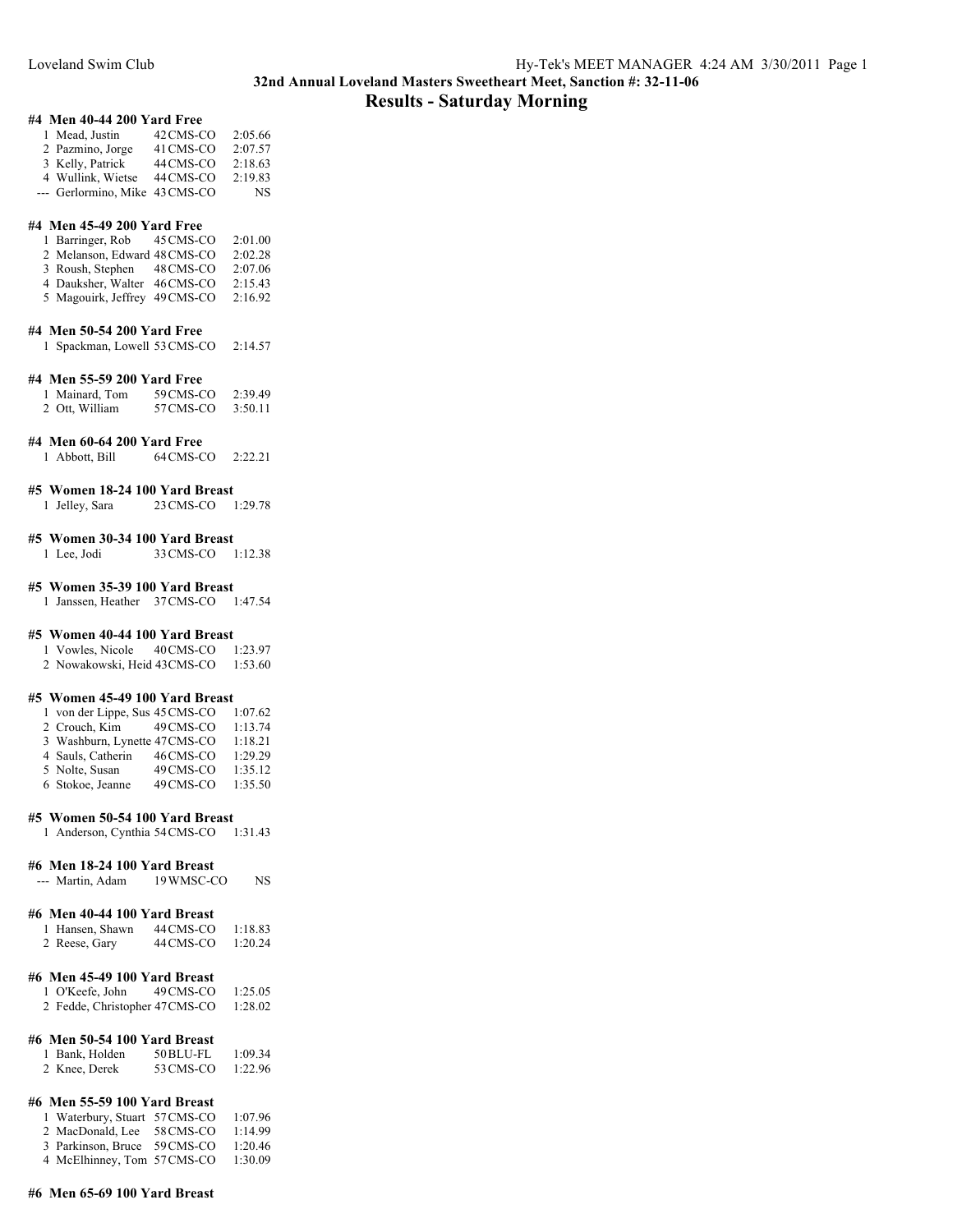## **32nd Annual Loveland Masters Sweetheart Meet, Sanction #: 32-11-06 Results - Saturday Morning**

## **#4 Men 40-44 200 Yard Free**

| 1 Mead, Justin                 | 42 CMS-CO | 2:05.66 |
|--------------------------------|-----------|---------|
| 2 Pazmino, Jorge               | 41 CMS-CO | 2:07.57 |
| 3 Kelly, Patrick               | 44 CMS-CO | 2:18.63 |
| 4 Wullink, Wietse              | 44 CMS-CO | 2:19.83 |
| --- Gerlormino, Mike 43 CMS-CO |           | NS.     |

#### **#4 Men 45-49 200 Yard Free**

| 1 Barringer, Rob              | 45 CMS-CO | 2:01.00 |
|-------------------------------|-----------|---------|
| 2 Melanson, Edward 48 CMS-CO  |           | 2:02.28 |
| 3 Roush, Stephen              | 48 CMS-CO | 2:07.06 |
| 4 Dauksher, Walter            | 46CMS-CO  | 2:15.43 |
| 5 Magouirk, Jeffrey 49 CMS-CO |           | 2:16.92 |

#### **#4 Men 50-54 200 Yard Free**

Spackman, Lowell 53CMS-CO 2:14.57

#### **#4 Men 55-59 200 Yard Free**

| 1 Mainard, Tom | 59 CMS-CO | 2:39.49 |
|----------------|-----------|---------|
| 2 Ott, William | 57 CMS-CO | 3:50.11 |

#### **#4 Men 60-64 200 Yard Free**

Abbott, Bill 64CMS-CO 2:22.21

## **#5 Women 18-24 100 Yard Breast**

Jelley, Sara 23CMS-CO 1:29.78

## **#5 Women 30-34 100 Yard Breast**

Lee, Jodi 33CMS-CO 1:12.38

## **#5 Women 35-39 100 Yard Breast**

Janssen, Heather 37CMS-CO 1:47.54

### **#5 Women 40-44 100 Yard Breast**

Vowles, Nicole 40CMS-CO 1:23.97

Nowakowski, Heid 43CMS-CO 1:53.60

#### **#5 Women 45-49 100 Yard Breast**

| 1 von der Lippe, Sus 45 CMS-CO |           | 1:07.62 |
|--------------------------------|-----------|---------|
| 2 Crouch, Kim                  | 49 CMS-CO | 1:13.74 |
| 3 Washburn, Lynette 47CMS-CO   |           | 1:18.21 |
| 4 Sauls, Catherin              | 46CMS-CO  | 1:29.29 |
| 5 Nolte, Susan                 | 49 CMS-CO | 1:35.12 |
| 6 Stokoe, Jeanne               | 49 CMS-CO | 1:35.50 |

## **#5 Women 50-54 100 Yard Breast**

Anderson, Cynthia 54CMS-CO 1:31.43

#### **#6 Men 18-24 100 Yard Breast**

--- Martin, Adam 19 WMSC-CO NS

#### **#6 Men 40-44 100 Yard Breast**

| 1 Hansen, Shawn | 44 CMS-CO | 1:18.83 |
|-----------------|-----------|---------|
| 2 Reese, Gary   | 44 CMS-CO | 1:20.24 |

## **#6 Men 45-49 100 Yard Breast**

| 1 O'Keefe, John                | 49 CMS-CO | 1:25.05 |
|--------------------------------|-----------|---------|
| 2 Fedde, Christopher 47 CMS-CO |           | 1:28.02 |

## **#6 Men 50-54 100 Yard Breast**

| 1 Bank, Holden | 50 BLU-FL | 1:09.34 |
|----------------|-----------|---------|
| 2 Knee, Derek  | 53 CMS-CO | 1:22.96 |

## **#6 Men 55-59 100 Yard Breast**

| 1 Waterbury, Stuart 57 CMS-CO |           | 1:07.96 |
|-------------------------------|-----------|---------|
| 2 MacDonald, Lee              | 58 CMS-CO | 1:14.99 |
| 3 Parkinson, Bruce 59 CMS-CO  |           | 1:20.46 |
| 4 McElhinney, Tom 57 CMS-CO   |           | 1:30.09 |

#### **#6 Men 65-69 100 Yard Breast**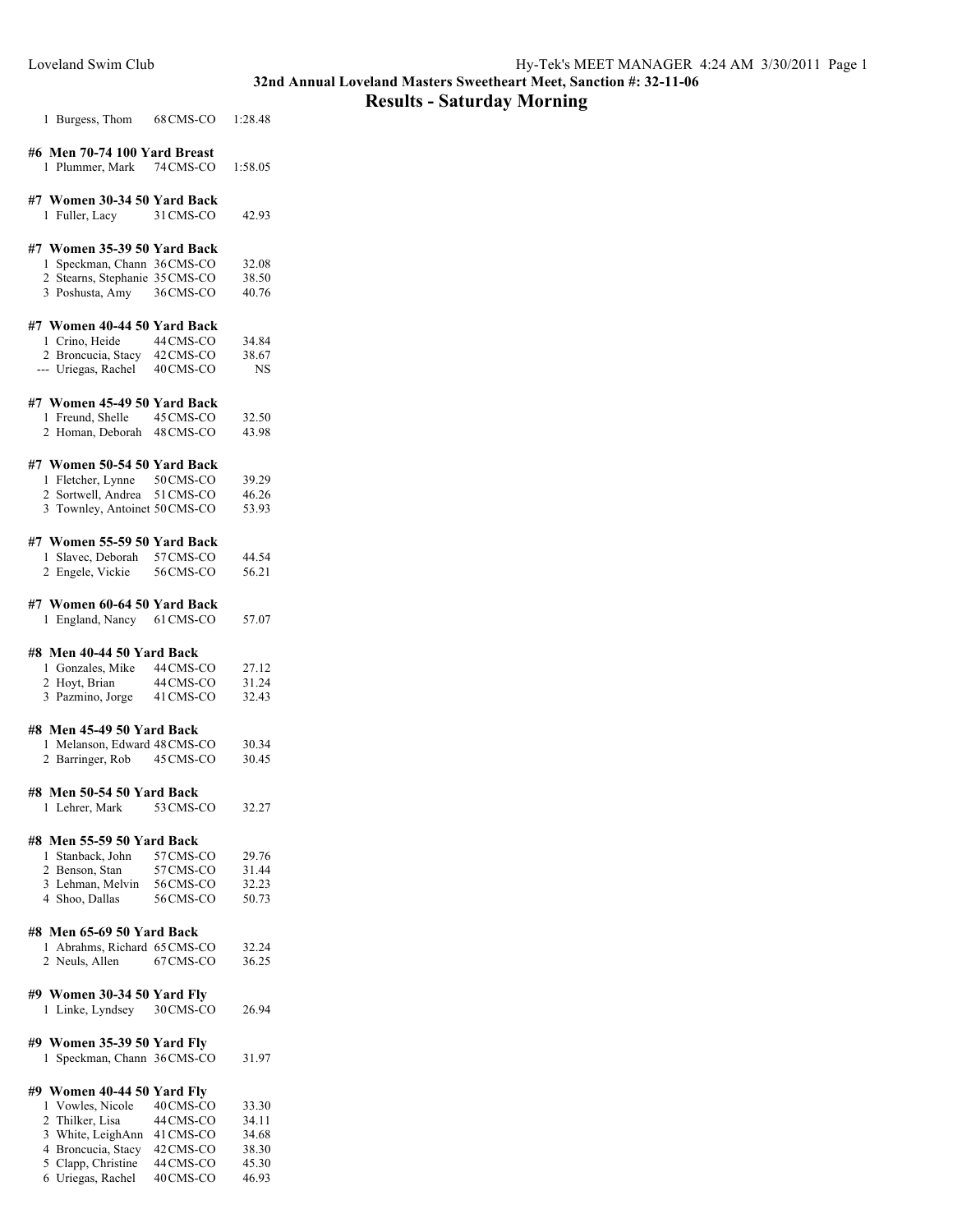## **Results - Saturday Morning**

| 1 Burgess, Thom | 68 CMS-CO | 1:28.48 |
|-----------------|-----------|---------|
|                 |           |         |

| #6 Men 70-74 100 Yard Breast |           |         |
|------------------------------|-----------|---------|
| 1 Plummer, Mark              | 74 CMS-CO | 1:58.05 |

## **#7 Women 30-34 50 Yard Back**

| 1 Fuller, Lacy | 42.93<br>31 CMS-CO |
|----------------|--------------------|
|----------------|--------------------|

## **#7 Women 35-39 50 Yard Back**

| 1 Speckman, Chann 36 CMS-CO    |           | 32.08 |
|--------------------------------|-----------|-------|
| 2 Stearns, Stephanie 35 CMS-CO |           | 38.50 |
| 3 Poshusta, Amy                | 36 CMS-CO | 40.76 |

## **#7 Women 40-44 50 Yard Back**

| 1 Crino, Heide      | 44 CMS-CO | 34.84 |
|---------------------|-----------|-------|
| 2 Broncucia, Stacy  | 42 CMS-CO | 38.67 |
| --- Uriegas, Rachel | 40 CMS-CO | NS    |

### **#7 Women 45-49 50 Yard Back**

| 1 Freund, Shelle           | 45 CMS-CO | 32.50 |
|----------------------------|-----------|-------|
| 2 Homan, Deborah 48 CMS-CO |           | 43.98 |

## **#7 Women 50-54 50 Yard Back**

| 1 Fletcher, Lynne             | 50 CMS-CO | 39.29 |
|-------------------------------|-----------|-------|
| 2 Sortwell, Andrea            | 51 CMS-CO | 46.26 |
| 3 Townley, Antoinet 50 CMS-CO |           | 53.93 |

#### **#7 Women 55-59 50 Yard Back**

| 1 Slavec, Deborah | 57 CMS-CO | 44.54 |
|-------------------|-----------|-------|
| 2 Engele, Vickie  | 56 CMS-CO | 56.21 |

#### **#7 Women 60-64 50 Yard Back**

England, Nancy 61CMS-CO 57.07

## **#8 Men 40-44 50 Yard Back**

| 1 Gonzales, Mike | 44 CMS-CO | 27.12 |
|------------------|-----------|-------|
| 2 Hoyt, Brian    | 44 CMS-CO | 31.24 |
| 3 Pazmino, Jorge | 41 CMS-CO | 32.43 |

#### **#8 Men 45-49 50 Yard Back**

| 1 Melanson, Edward 48 CMS-CO |           | 30.34 |
|------------------------------|-----------|-------|
| 2 Barringer, Rob             | 45 CMS-CO | 30.45 |

## **#8 Men 50-54 50 Yard Back**

Lehrer, Mark 53CMS-CO 32.27

## **#8 Men 55-59 50 Yard Back**

| 1 Stanback, John | 57 CMS-CO | 29.76 |
|------------------|-----------|-------|
| 2 Benson, Stan   | 57 CMS-CO | 31.44 |
| 3 Lehman, Melvin | 56 CMS-CO | 32.23 |
| 4 Shoo, Dallas   | 56 CMS-CO | 50.73 |

## **#8 Men 65-69 50 Yard Back**

| 1 Abrahms, Richard 65 CMS-CO |           | 32.24 |
|------------------------------|-----------|-------|
| 2 Neuls, Allen               | 67 CMS-CO | 36.25 |

## **#9 Women 30-34 50 Yard Fly**

Linke, Lyndsey 30CMS-CO 26.94

## **#9 Women 35-39 50 Yard Fly**

Speckman, Chann 36CMS-CO 31.97

## **#9 Women 40-44 50 Yard Fly**

| 1 Vowles, Nicole   | 40 CMS-CO | 33.30 |
|--------------------|-----------|-------|
| 2 Thilker, Lisa    | 44 CMS-CO | 34.11 |
| 3 White, LeighAnn  | 41 CMS-CO | 34.68 |
| 4 Broncucia, Stacy | 42 CMS-CO | 38.30 |
| 5 Clapp, Christine | 44 CMS-CO | 45.30 |
| 6 Uriegas, Rachel  | 40 CMS-CO | 46.93 |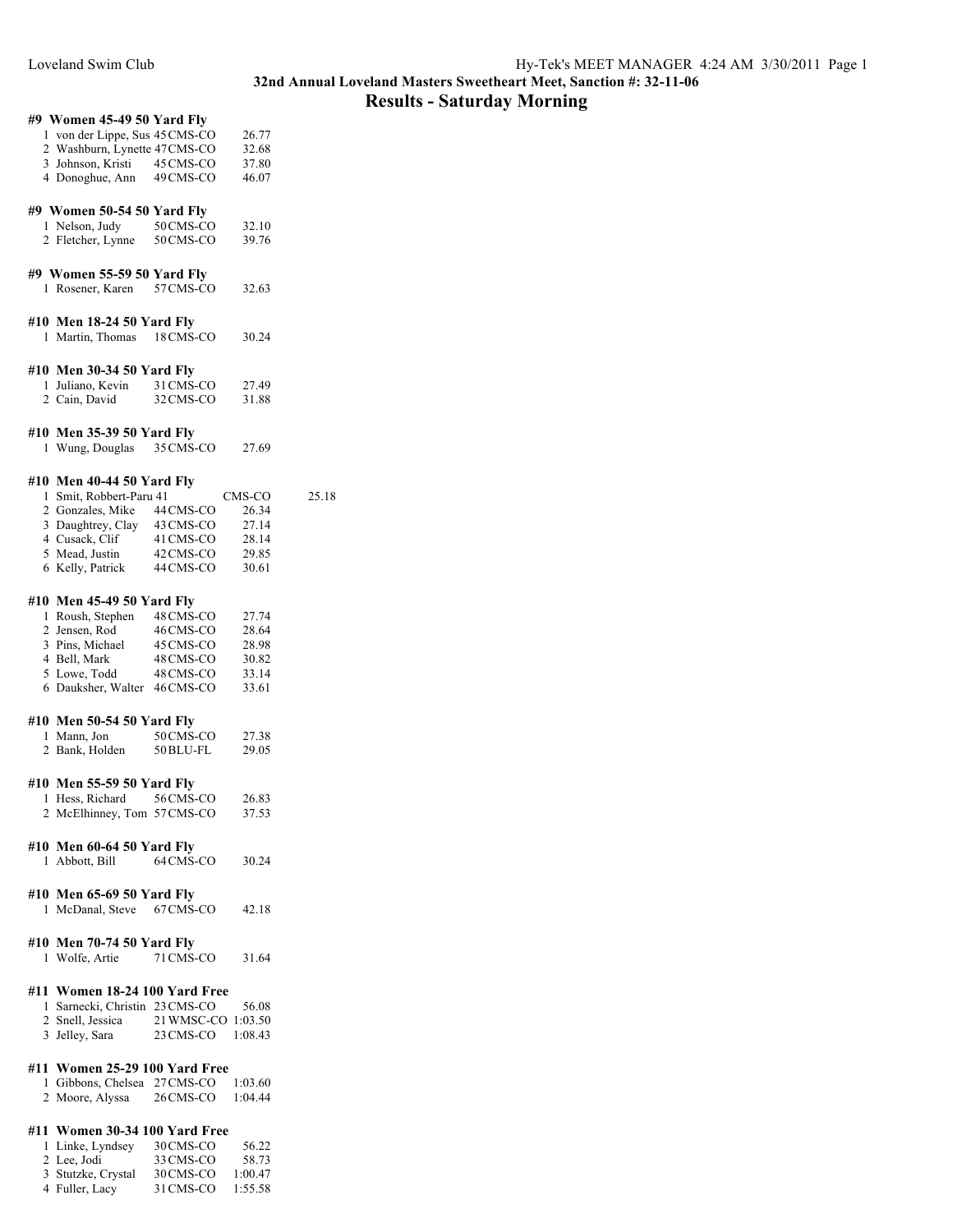## **Results - Saturday Morning**

| #9 Women 45-49 50 Yard Fly                                              |           |        |
|-------------------------------------------------------------------------|-----------|--------|
|                                                                         |           |        |
| 1 von der Lippe, Sus 45 CMS-CO                                          |           | 26.77  |
| 2 Washburn, Lynette 47CMS-CO                                            |           | 32.68  |
| 3 Johnson, Kristi 45 CMS-CO                                             |           | 37.80  |
| 4 Donoghue, Ann 49 CMS-CO                                               |           | 46.07  |
|                                                                         |           |        |
|                                                                         |           |        |
| #9 Women 50-54 50 Yard Fly                                              |           |        |
| 1 Nelson, Judy                                                          | 50 CMS-CO | 32.10  |
| 2 Fletcher, Lynne                                                       | 50 CMS-CO | 39.76  |
|                                                                         |           |        |
|                                                                         |           |        |
| #9 Women 55-59 50 Yard Fly                                              |           |        |
| 1 Rosener, Karen                                                        | 57 CMS-CO | 32.63  |
|                                                                         |           |        |
|                                                                         |           |        |
| #10 Men 18-24 50 Yard Fly                                               |           |        |
| 1 Martin, Thomas                                                        | 18 CMS-CO | 30.24  |
|                                                                         |           |        |
|                                                                         |           |        |
| #10 Men 30-34 50 Yard Fly                                               |           |        |
| 1 Juliano, Kevin                                                        | 31 CMS-CO | 27.49  |
| 2 Cain, David                                                           | 32 CMS-CO | 31.88  |
|                                                                         |           |        |
|                                                                         |           |        |
| #10 Men 35-39 50 Yard Fly                                               |           |        |
| Wung, Douglas<br>1                                                      | 35 CMS-CO | 27.69  |
|                                                                         |           |        |
|                                                                         |           |        |
| #10 Men 40-44 50 Yard Fly                                               |           |        |
| 1 Smit, Robbert-Paru 41                                                 |           | CMS-CO |
| 2 Gonzales, Mike                                                        | 44 CMS-CO | 26.34  |
| 3 Daughtrey, Clay                                                       | 43 CMS-CO | 27.14  |
| 4 Cusack, Clif                                                          |           |        |
|                                                                         | 41 CMS-CO | 28.14  |
| 5 Mead, Justin                                                          | 42 CMS-CO | 29.85  |
| 6 Kelly, Patrick                                                        | 44 CMS-CO | 30.61  |
|                                                                         |           |        |
|                                                                         |           |        |
| #10 Men 45-49 50 Yard Fly                                               |           |        |
| 1 Roush, Stephen                                                        | 48 CMS-CO | 27.74  |
| 2 Jensen, Rod                                                           | 46 CMS-CO | 28.64  |
| 3 Pins, Michael                                                         | 45 CMS-CO | 28.98  |
| 4 Bell, Mark                                                            | 48 CMS-CO | 30.82  |
| 5 Lowe, Todd                                                            |           |        |
|                                                                         | 48 CMS-CO | 33.14  |
| 6 Dauksher, Walter                                                      | 46 CMS-CO | 33.61  |
|                                                                         |           |        |
| #10 Men 50-54 50 Yard Fly                                               |           |        |
| 1 Mann, Jon                                                             | 50 CMS-CO | 27.38  |
|                                                                         |           |        |
| 2 Bank, Holden                                                          | 50 BLU-FL | 29.05  |
|                                                                         |           |        |
| #10 Men 55-59 50 Yard Fly                                               |           |        |
|                                                                         |           | 26.83  |
| 1 Hess, Richard 56 CMS-CO                                               |           |        |
| 2 McElhinney, Tom 57 CMS-CO                                             |           | 37.53  |
|                                                                         |           |        |
| #10 Men 60-64 50 Yard Fly                                               |           |        |
|                                                                         |           |        |
| 1 Abbott, Bill                                                          | 64 CMS-CO | 30.24  |
|                                                                         |           |        |
| #10 Men 65-69 50 Yard Fly                                               |           |        |
| 1 McDanal, Steve 67 CMS-CO                                              |           | 42.18  |
|                                                                         |           |        |
|                                                                         |           |        |
| #10 Men 70-74 50 Yard Fly                                               |           |        |
| 1 Wolfe, Artie                                                          | 71 CMS-CO | 31.64  |
|                                                                         |           |        |
|                                                                         |           |        |
| #11 Women 18-24 100 Yard Free                                           |           |        |
| 1 Sarnecki, Christin 23 CMS-CO                                          |           | 56.08  |
|                                                                         |           |        |
| 2 Snell, Jessica 21 WMSC-CO 1:03.50<br>3 Jelley, Sara 23 CMS-CO 1:08.43 |           |        |
|                                                                         |           |        |
|                                                                         |           |        |
|                                                                         |           |        |
|                                                                         |           |        |
| #11 Women 25-29 100 Yard Free                                           |           |        |
| 1 Gibbons, Chelsea 27 CMS-CO 1:03.60                                    |           |        |
| 2 Moore, Alyssa 26 CMS-CO 1:04.44                                       |           |        |
| #11 Women 30-34 100 Yard Free                                           |           |        |

 $25.18$ 

| 1 Linke, Lyndsey   | 30 CMS-CO | 56.22   |
|--------------------|-----------|---------|
| 2 Lee, Jodi        | 33 CMS-CO | 58.73   |
| 3 Stutzke, Crystal | 30 CMS-CO | 1:00.47 |
| 4 Fuller, Lacy     | 31 CMS-CO | 1:55.58 |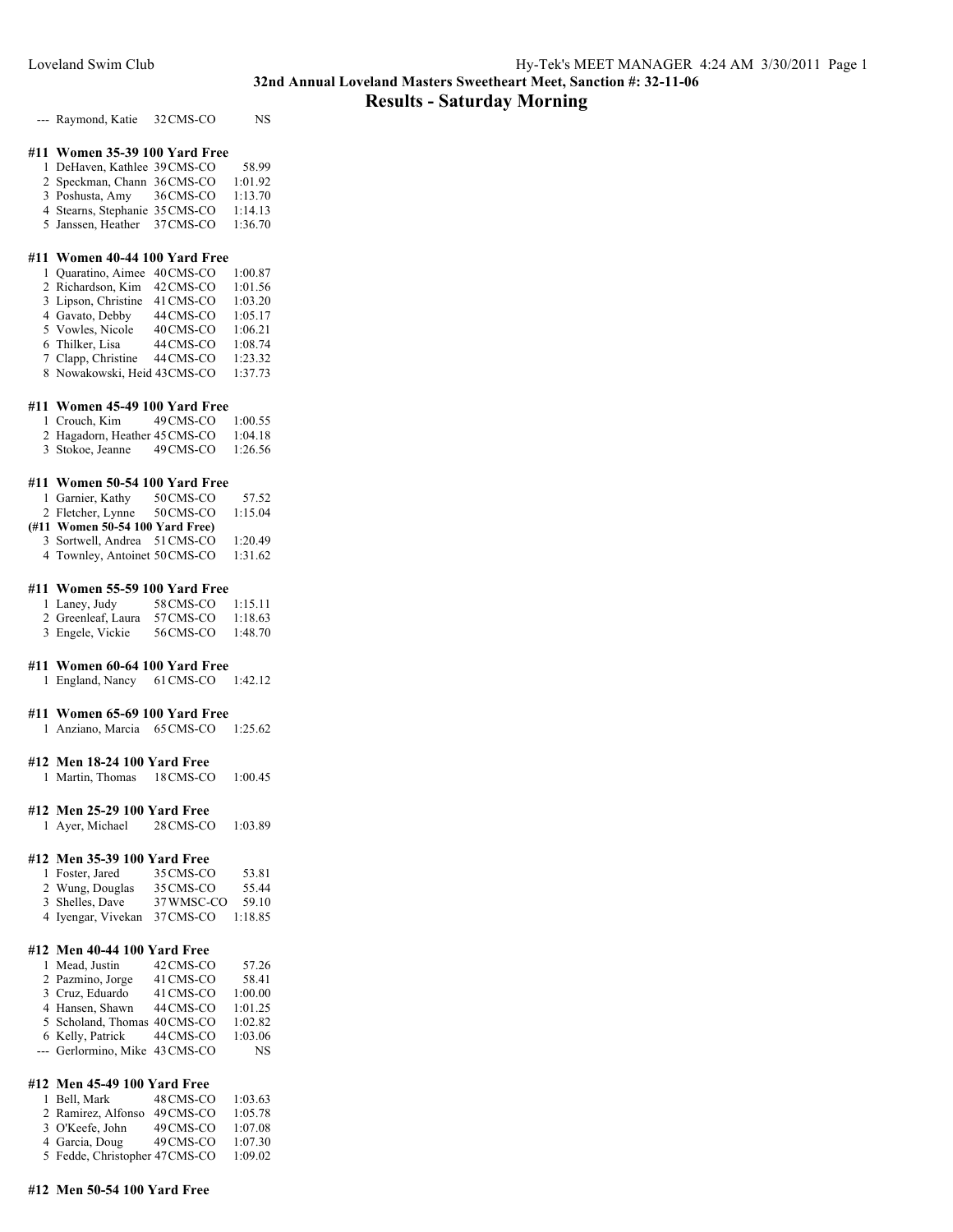## **Results - Saturday Morning**

--- Raymond, Katie 32 CMS-CO NS

## **#11 Women 35-39 100 Yard Free**

| 1 DeHaven, Kathlee 39 CMS-CO   |           | 58.99   |
|--------------------------------|-----------|---------|
| 2 Speckman, Chann 36 CMS-CO    |           | 1:01.92 |
| 3 Poshusta, Amy                | 36 CMS-CO | 1:13.70 |
| 4 Stearns, Stephanie 35 CMS-CO |           | 1:14.13 |
| 5 Janssen, Heather 37 CMS-CO   |           | 1:36.70 |

## **#11 Women 40-44 100 Yard Free**

| 1 Quaratino, Aimee          | 40 CMS-CO | 1:00.87 |
|-----------------------------|-----------|---------|
| 2 Richardson, Kim           | 42 CMS-CO | 1:01.56 |
| 3 Lipson, Christine         | 41 CMS-CO | 1:03.20 |
| 4 Gavato, Debby             | 44 CMS-CO | 1:05.17 |
| 5 Vowles, Nicole            | 40 CMS-CO | 1:06.21 |
| 6 Thilker, Lisa             | 44 CMS-CO | 1:08.74 |
| 7 Clapp, Christine          | 44 CMS-CO | 1:23.32 |
| 8 Nowakowski, Heid 43CMS-CO |           | 1:37.73 |

#### **#11 Women 45-49 100 Yard Free**

| 1 Crouch, Kim                 | 49 CMS-CO | 1:00.55 |
|-------------------------------|-----------|---------|
| 2 Hagadorn, Heather 45 CMS-CO |           | 1:04.18 |
| 3 Stokoe, Jeanne              | 49 CMS-CO | 1:26.56 |

#### **#11 Women 50-54 100 Yard Free**

| 1 Garnier, Kathy                | 50 CMS-CO | 57.52   |
|---------------------------------|-----------|---------|
| 2 Fletcher, Lynne               | 50 CMS-CO | 1:15.04 |
| (#11 Women 50-54 100 Yard Free) |           |         |
| 3 Sortwell, Andrea 51 CMS-CO    |           | 1:20.49 |
| 4 Townley, Antoinet 50 CMS-CO   |           | 1:31.62 |

### **#11 Women 55-59 100 Yard Free**

| 1 Laney, Judy      | 58 CMS-CO | 1:15.11 |
|--------------------|-----------|---------|
| 2 Greenleaf, Laura | 57 CMS-CO | 1:18.63 |
| 3 Engele, Vickie   | 56 CMS-CO | 1:48.70 |

## **#11 Women 60-64 100 Yard Free**

England, Nancy 61CMS-CO 1:42.12

### **#11 Women 65-69 100 Yard Free**

Anziano, Marcia 65CMS-CO 1:25.62

## **#12 Men 18-24 100 Yard Free**

Martin, Thomas 18CMS-CO 1:00.45

#### **#12 Men 25-29 100 Yard Free**

Ayer, Michael 28CMS-CO 1:03.89

## **#12 Men 35-39 100 Yard Free**

| 1 Foster, Jared    | 35 CMS-CO  | 53.81   |
|--------------------|------------|---------|
| 2 Wung, Douglas    | 35 CMS-CO  | 55.44   |
| 3 Shelles, Dave    | 37 WMSC-CO | 59.10   |
| 4 Iyengar, Vivekan | 37 CMS-CO  | 1:18.85 |

## **#12 Men 40-44 100 Yard Free**

| 1 Mead, Justin                 | 42 CMS-CO | 57.26     |
|--------------------------------|-----------|-----------|
| 2 Pazmino, Jorge               | 41 CMS-CO | 58.41     |
| 3 Cruz, Eduardo                | 41 CMS-CO | 1:00.00   |
| 4 Hansen, Shawn                | 44 CMS-CO | 1:01.25   |
| 5 Scholand, Thomas 40 CMS-CO   |           | 1:02.82   |
| 6 Kelly, Patrick               | 44 CMS-CO | 1:03.06   |
| --- Gerlormino, Mike 43 CMS-CO |           | <b>NS</b> |

## **#12 Men 45-49 100 Yard Free**

| 1 Bell, Mark                  | 48 CMS-CO | 1:03.63 |
|-------------------------------|-----------|---------|
| 2 Ramirez, Alfonso            | 49 CMS-CO | 1:05.78 |
| 3 O'Keefe, John               | 49 CMS-CO | 1:07.08 |
| 4 Garcia, Doug                | 49 CMS-CO | 1:07.30 |
| 5 Fedde, Christopher 47CMS-CO |           | 1:09.02 |
|                               |           |         |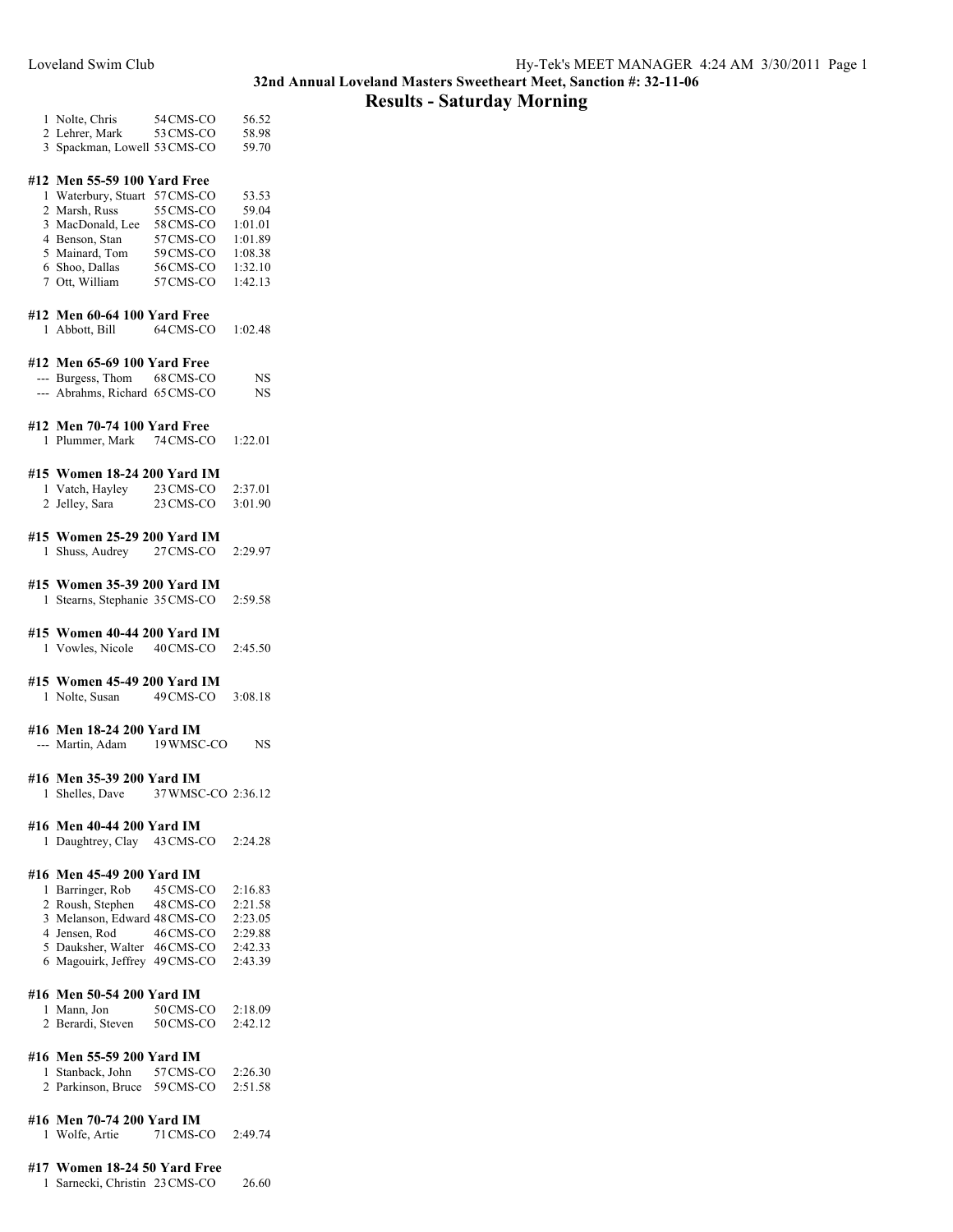## **Results - Saturday Morning**

| 1 Nolte, Chris               | 54 CMS-CO | 56.52 |
|------------------------------|-----------|-------|
| 2 Lehrer, Mark               | 53 CMS-CO | 58.98 |
| 3 Spackman, Lowell 53 CMS-CO |           | 59.70 |

## **#12 Men 55-59 100 Yard Free**

| 1 Waterbury, Stuart 57 CMS-CO |           | 53.53   |
|-------------------------------|-----------|---------|
| 2 Marsh, Russ                 | 55 CMS-CO | 59.04   |
| 3 MacDonald, Lee              | 58 CMS-CO | 1:01.01 |
| 4 Benson, Stan                | 57 CMS-CO | 1:01.89 |
| 5 Mainard, Tom                | 59 CMS-CO | 1:08.38 |
| 6 Shoo, Dallas                | 56 CMS-CO | 1:32.10 |
| 7 Ott, William                | 57 CMS-CO | 1:42.13 |

#### **#12 Men 60-64 100 Yard Free**

|  |  |  | 1 Abbott, Bill | 64 CMS-CO | 1:02.48 |
|--|--|--|----------------|-----------|---------|
|--|--|--|----------------|-----------|---------|

#### **#12 Men 65-69 100 Yard Free**

| $---$ | Burgess, Thom              | 68 CMS-CO | NS |
|-------|----------------------------|-----------|----|
|       | Abrahms, Richard 65 CMS-CO |           | NS |

## **#12 Men 70-74 100 Yard Free**

1 Plummer, Mark 74CMS-CO 1:22.01

### **#15 Women 18-24 200 Yard IM**

| 1 Vatch, Hayley | 23 CMS-CO | 2:37.01 |
|-----------------|-----------|---------|
| 2 Jelley, Sara  | 23 CMS-CO | 3:01.90 |

#### **#15 Women 25-29 200 Yard IM** 1 Shuss, Audrey 27CMS-CO 2:29.97

#### **#15 Women 35-39 200 Yard IM** 1 Stearns, Stephanie 35CMS-CO 2:59.58

## **#15 Women 40-44 200 Yard IM**

1 Vowles, Nicole 40CMS-CO 2:45.50

## **#15 Women 45-49 200 Yard IM**

1 Nolte, Susan 49CMS-CO 3:08.18

#### **#16 Men 18-24 200 Yard IM**

--- Martin, Adam 19 WMSC-CO NS

## **#16 Men 35-39 200 Yard IM**

1 Shelles, Dave 37WMSC-CO 2:36.12

#### **#16 Men 40-44 200 Yard IM**

1 Daughtrey, Clay 43CMS-CO 2:24.28

## **#16 Men 45-49 200 Yard IM**

| 1 Barringer, Rob              | 45 CMS-CO | 2:16.83 |
|-------------------------------|-----------|---------|
| 2 Roush, Stephen              | 48 CMS-CO | 2:21.58 |
| 3 Melanson, Edward 48 CMS-CO  |           | 2:23.05 |
| 4 Jensen, Rod                 | 46 CMS-CO | 2:29.88 |
| 5 Dauksher, Walter            | 46 CMS-CO | 2:42.33 |
| 6 Magouirk, Jeffrey 49 CMS-CO |           | 2:43.39 |

#### **#16 Men 50-54 200 Yard IM**

| 1 Mann, Jon       | 50 CMS-CO | 2:18.09 |
|-------------------|-----------|---------|
| 2 Berardi, Steven | 50 CMS-CO | 2:42.12 |

## **#16 Men 55-59 200 Yard IM**

1 Stanback, John 57CMS-CO 2:26.30 2 Parkinson, Bruce 59CMS-CO 2:51.58

### **#16 Men 70-74 200 Yard IM**

1 Wolfe, Artie 71CMS-CO 2:49.74

## **#17 Women 18-24 50 Yard Free**

1 Sarnecki, Christin 23CMS-CO 26.60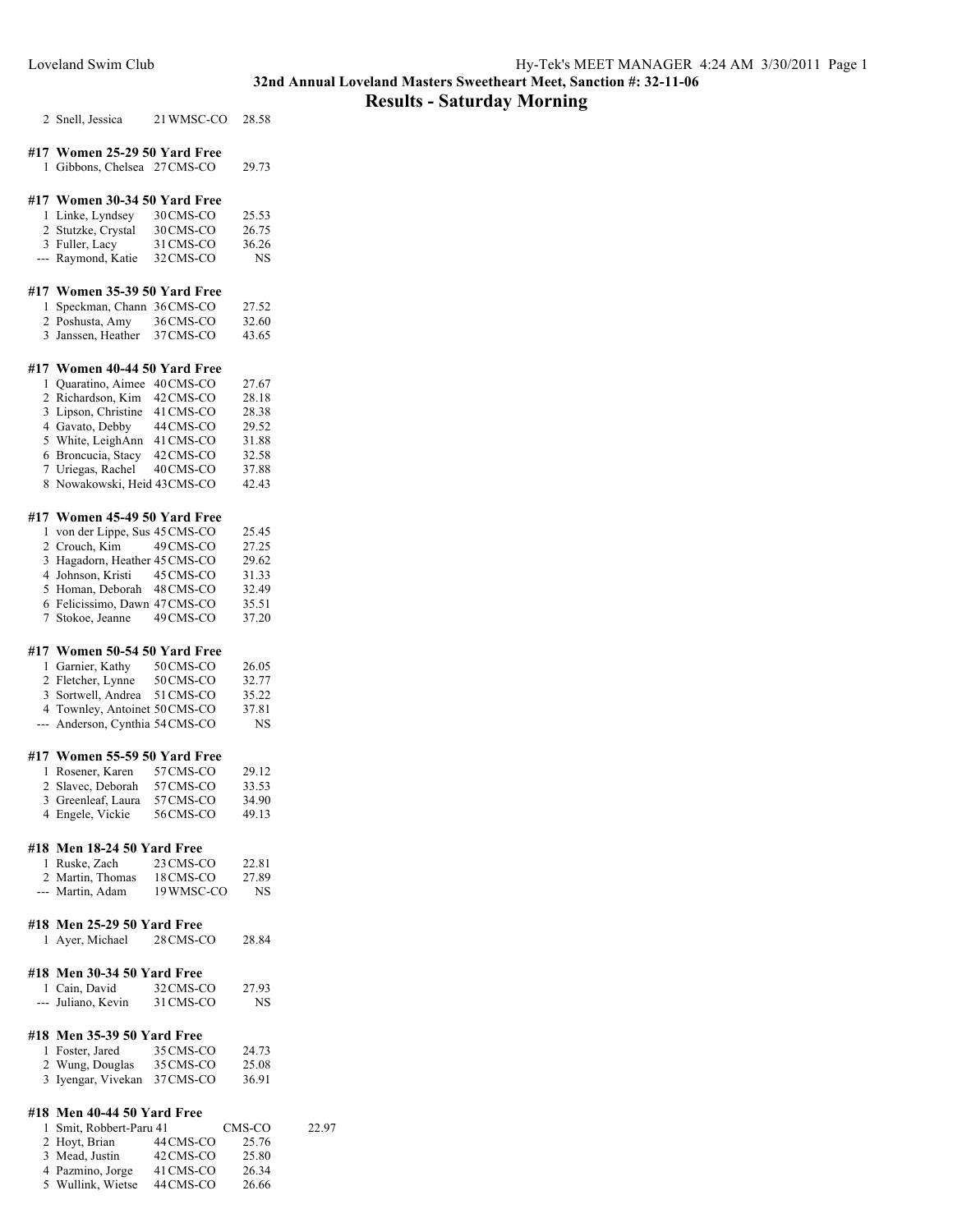## **Results - Saturday Morning**

Snell, Jessica 21WMSC-CO 28.58

## **#17 Women 25-29 50 Yard Free** Gibbons, Chelsea 27CMS-CO 29.73

#### **#17 Women 30-34 50 Yard Free**

| 1 Linke, Lyndsey   | 30 CMS-CO | 25.53 |
|--------------------|-----------|-------|
| 2 Stutzke, Crystal | 30 CMS-CO | 26.75 |
| 3 Fuller, Lacy     | 31 CMS-CO | 36.26 |
| --- Raymond, Katie | 32 CMS-CO | NS    |

#### **#17 Women 35-39 50 Yard Free**

| 1 Speckman, Chann 36 CMS-CO |           | 27.52 |
|-----------------------------|-----------|-------|
| 2 Poshusta, Amy             | 36 CMS-CO | 32.60 |
| 3 Janssen, Heather          | 37 CMS-CO | 43.65 |

## **#17 Women 40-44 50 Yard Free**

| 1 Quaratino, Aimee 40 CMS-CO |           | 27.67 |
|------------------------------|-----------|-------|
| 2 Richardson, Kim            | 42 CMS-CO | 28.18 |
| 3 Lipson, Christine          | 41 CMS-CO | 28.38 |
| 4 Gavato, Debby              | 44 CMS-CO | 29.52 |
| 5 White, LeighAnn            | 41 CMS-CO | 31.88 |
| 6 Broncucia, Stacy           | 42 CMS-CO | 32.58 |
| 7 Uriegas, Rachel            | 40 CMS-CO | 37.88 |
| 8 Nowakowski, Heid 43CMS-CO  |           | 42.43 |

#### **#17 Women 45-49 50 Yard Free**

| 1 von der Lippe, Sus 45 CMS-CO |           | 25.45 |
|--------------------------------|-----------|-------|
| 2 Crouch, Kim                  | 49 CMS-CO | 27.25 |
| 3 Hagadorn, Heather 45 CMS-CO  |           | 29.62 |
| 4 Johnson, Kristi 45 CMS-CO    |           | 31.33 |
| 5 Homan, Deborah 48 CMS-CO     |           | 32.49 |
| 6 Felicissimo, Dawn 47 CMS-CO  |           | 35.51 |
| 7 Stokoe, Jeanne               | 49 CMS-CO | 37.20 |

## **#17 Women 50-54 50 Yard Free**

| 1 Garnier, Kathy                | 50 CMS-CO | 26.05 |
|---------------------------------|-----------|-------|
| 2 Fletcher, Lynne               | 50 CMS-CO | 32.77 |
| 3 Sortwell, Andrea              | 51 CMS-CO | 35.22 |
| 4 Townley, Antoinet 50 CMS-CO   |           | 37.81 |
| --- Anderson, Cynthia 54 CMS-CO |           | NS.   |

### **#17 Women 55-59 50 Yard Free**

| 1 Rosener, Karen   | 57 CMS-CO | 29.12 |
|--------------------|-----------|-------|
| 2 Slavec, Deborah  | 57 CMS-CO | 33.53 |
| 3 Greenleaf, Laura | 57 CMS-CO | 34.90 |
| 4 Engele, Vickie   | 56CMS-CO  | 49.13 |

## **#18 Men 18-24 50 Yard Free**

| 1 Ruske, Zach    | 23 CMS-CO  | 22.81 |
|------------------|------------|-------|
| 2 Martin, Thomas | 18 CMS-CO  | 27.89 |
| --- Martin, Adam | 19 WMSC-CO | NS    |

**#18 Men 25-29 50 Yard Free**

| 1 Ayer, Michael | 28 CMS-CO | 28.84 |
|-----------------|-----------|-------|
|-----------------|-----------|-------|

## **#18 Men 30-34 50 Yard Free**

| 1 Cain, David      | 32 CMS-CO | 27.93 |
|--------------------|-----------|-------|
| --- Juliano, Kevin | 31 CMS-CO | NS    |

## **#18 Men 35-39 50 Yard Free**

| 1 Foster, Jared    | 35 CMS-CO | 24.73 |
|--------------------|-----------|-------|
| 2 Wung, Douglas    | 35 CMS-CO | 25.08 |
| 3 Iyengar, Vivekan | 37 CMS-CO | 36.91 |

### **#18 Men 40-44 50 Yard Free**

| 1 Smit, Robbert-Paru 41 |           | CMS-CO | 22.97 |
|-------------------------|-----------|--------|-------|
| 2 Hoyt, Brian           | 44 CMS-CO | 25.76  |       |
| 3 Mead, Justin          | 42 CMS-CO | 25.80  |       |
| 4 Pazmino, Jorge        | 41 CMS-CO | 26.34  |       |
| 5 Wullink, Wietse       | 44 CMS-CO | 26.66  |       |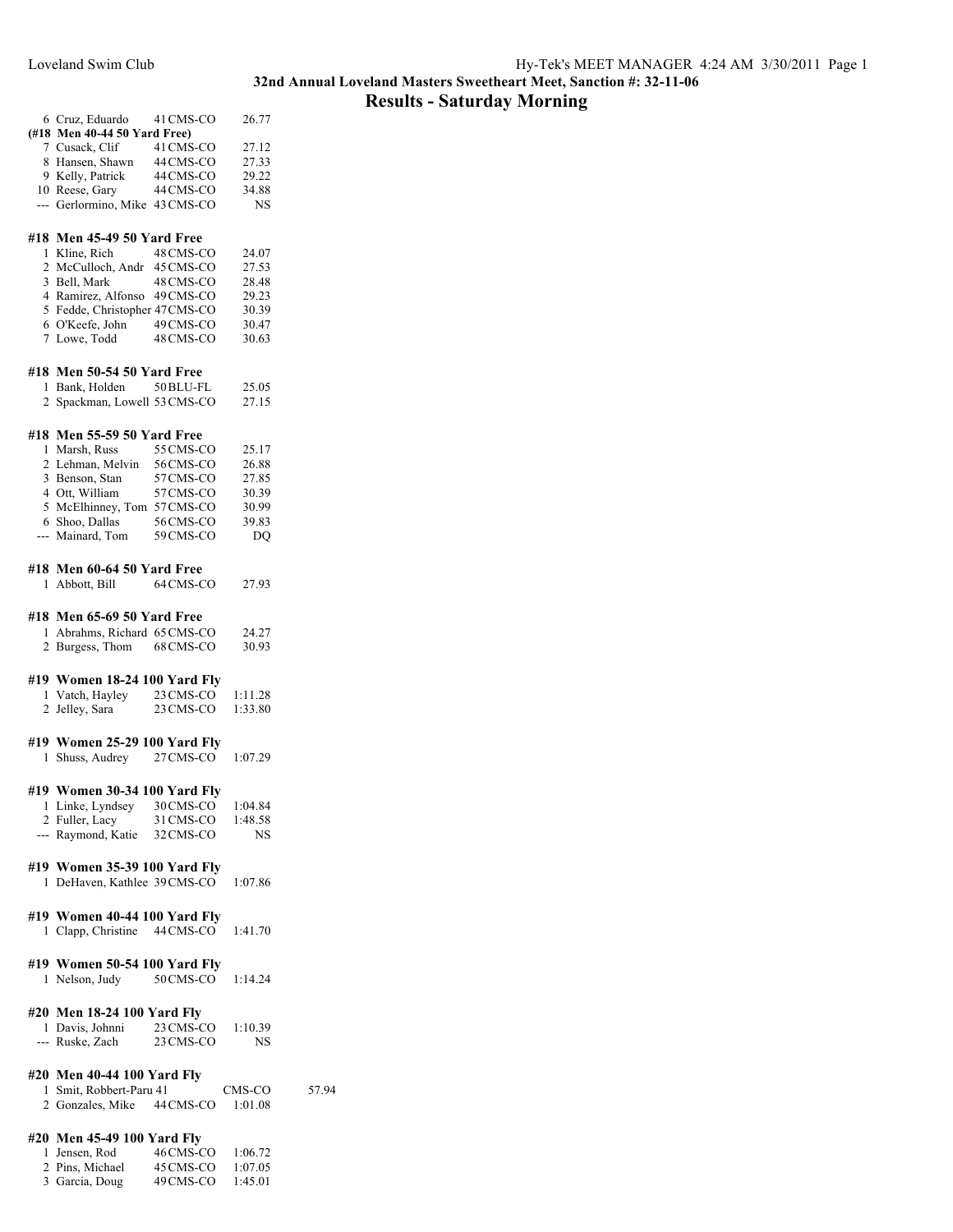## **Results - Saturday Morning**

|                | 6 Cruz, Eduardo                                  | 41 CMS-CO | 26.77          |
|----------------|--------------------------------------------------|-----------|----------------|
|                | (#18 Men 40-44 50 Yard Free)                     |           |                |
|                | 7 Cusack, Clif                                   | 41 CMS-CO | 27.12          |
|                | 8 Hansen, Shawn                                  | 44 CMS-CO | 27.33          |
|                | 9 Kelly, Patrick                                 | 44 CMS-CO | 29.22          |
|                | 10 Reese, Gary                                   | 44 CMS-CO | 34.88          |
|                | --- Gerlormino, Mike 43 CMS-CO                   |           | <b>NS</b>      |
|                |                                                  |           |                |
|                | #18 Men 45-49 50 Yard Free                       |           |                |
| 1              | Kline, Rich                                      | 48 CMS-CO | 24.07          |
|                | 2 McCulloch, Andr                                | 45 CMS-CO | 27.53          |
|                | 3 Bell, Mark                                     | 48 CMS-CO | 28.48          |
|                | 4 Ramirez, Alfonso                               | 49 CMS-CO | 29.23          |
|                | 5 Fedde, Christopher 47CMS-CO<br>6 O'Keefe, John | 49 CMS-CO | 30.39          |
|                | 7 Lowe, Todd                                     | 48 CMS-CO | 30.47<br>30.63 |
|                |                                                  |           |                |
|                | #18 Men 50-54 50 Yard Free                       |           |                |
| 1              | Bank, Holden 50 BLU-FL                           |           | 25.05          |
|                | 2 Spackman, Lowell 53 CMS-CO                     |           | 27.15          |
|                |                                                  |           |                |
|                | #18 Men 55-59 50 Yard Free                       |           |                |
| $\mathbf{1}$   | Marsh, Russ                                      | 55 CMS-CO | 25.17          |
|                | 2 Lehman, Melvin                                 | 56 CMS-CO | 26.88          |
|                | 3 Benson, Stan                                   | 57 CMS-CO | 27.85          |
|                | 4 Ott, William                                   | 57 CMS-CO | 30.39          |
|                | 5 McElhinney, Tom 57 CMS-CO                      |           | 30.99          |
|                | 6 Shoo, Dallas                                   | 56 CMS-CO | 39.83          |
|                | --- Mainard, Tom                                 | 59 CMS-CO | DQ             |
|                |                                                  |           |                |
|                | #18 Men 60-64 50 Yard Free                       |           |                |
| 1              | Abbott, Bill                                     | 64 CMS-CO | 27.93          |
|                |                                                  |           |                |
|                |                                                  |           |                |
|                | #18 Men 65-69 50 Yard Free                       |           |                |
| 1              | Abrahms, Richard 65 CMS-CO                       |           | 24.27          |
|                | 2 Burgess, Thom                                  | 68 CMS-CO | 30.93          |
|                |                                                  |           |                |
|                | #19 Women 18-24 100 Yard Fly                     |           |                |
|                | 1 Vatch, Hayley                                  | 23 CMS-CO | 1:11.28        |
| $\overline{2}$ | Jelley, Sara                                     | 23 CMS-CO | 1:33.80        |
|                |                                                  |           |                |
|                | #19 Women 25-29 100 Yard Fly                     |           |                |
| 1              | Shuss, Audrey                                    | 27 CMS-CO | 1:07.29        |
|                |                                                  |           |                |
|                | #19 Women 30-34 100 Yard Fly                     |           |                |
|                | 1 Linke, Lyndsey                                 | 30 CMS-CO | 1:04.84        |
|                | 2 Fuller, Lacy                                   | 31 CMS-CO | 1:48.58        |
|                | --- Raymond, Katie                               | 32 CMS-CO | NS             |
|                |                                                  |           |                |
|                | #19 Women 35-39 100 Yard Fly                     |           |                |
|                | 1 DeHaven, Kathlee 39 CMS-CO                     |           | 1:07.86        |
|                |                                                  |           |                |
|                | #19 Women 40-44 100 Yard Fly                     |           |                |
|                | 1 Clapp, Christine 44 CMS-CO                     |           | 1:41.70        |
|                |                                                  |           |                |
|                | #19 Women 50-54 100 Yard Fly                     |           |                |
|                | 1 Nelson, Judy                                   | 50 CMS-CO | 1:14.24        |
|                |                                                  |           |                |
|                | #20 Men 18-24 100 Yard Fly                       |           |                |
|                | 1 Davis, Johnni                                  | 23 CMS-CO | 1:10.39        |
|                | --- Ruske, Zach                                  | 23 CMS-CO | <b>NS</b>      |
|                |                                                  |           |                |
|                | #20 Men 40-44 100 Yard Fly                       |           |                |
|                | 1 Smit, Robbert-Paru 41                          |           | CMS-CO         |
|                | 2 Gonzales, Mike 44 CMS-CO                       |           | 1:01.08        |
|                |                                                  |           |                |
|                | #20 Men 45-49 100 Yard Fly                       |           |                |
| 1              | Jensen, Rod                                      | 46 CMS-CO | 1:06.72        |
|                | 2 Pins, Michael                                  | 45 CMS-CO | 1:07.05        |
|                | 3 Garcia, Doug                                   | 49 CMS-CO | 1:45.01        |

57.94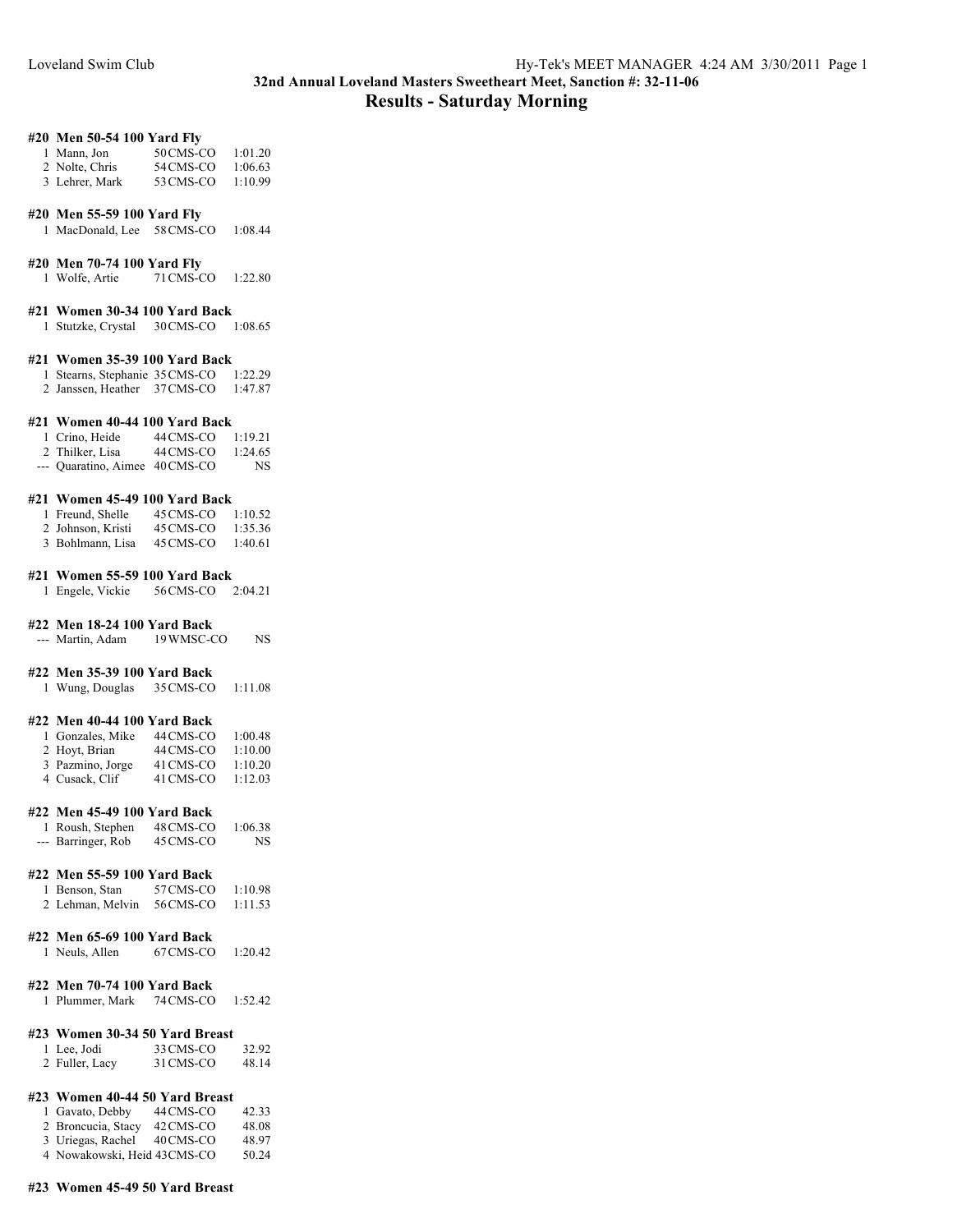## **32nd Annual Loveland Masters Sweetheart Meet, Sanction #: 32-11-06 Results - Saturday Morning**

## **#20 Men 50-54 100 Yard Fly**

| 1 Mann, Jon    | 50 CMS-CO                          | 1:01.20  |
|----------------|------------------------------------|----------|
| 2 Nolte, Chris | 54 CMS-CO                          | 1:06.63  |
| .              | $\sim$ $\sim$ $\sim$ $\sim$ $\sim$ | $\cdots$ |

3 Lehrer, Mark 53CMS-CO 1:10.99

## **#20 Men 55-59 100 Yard Fly**

1 MacDonald, Lee 58CMS-CO 1:08.44

### **#20 Men 70-74 100 Yard Fly**

1 Wolfe, Artie 71CMS-CO 1:22.80

#### **#21 Women 30-34 100 Yard Back**

1 Stutzke, Crystal 30CMS-CO 1:08.65

## **#21 Women 35-39 100 Yard Back**

- 1 Stearns, Stephanie 35CMS-CO 1:22.29
- 2 Janssen, Heather 37CMS-CO 1:47.87

#### **#21 Women 40-44 100 Yard Back**

| 1 Crino, Heide                 | 44 CMS-CO | 1:19.21 |
|--------------------------------|-----------|---------|
| 2 Thilker, Lisa                | 44 CMS-CO | 1:24.65 |
| --- Quaratino, Aimee 40 CMS-CO |           | NS      |

### **#21 Women 45-49 100 Yard Back**

| 1 Freund, Shelle  | 45 CMS-CO | 1:10.52 |
|-------------------|-----------|---------|
| 2 Johnson, Kristi | 45 CMS-CO | 1:35.36 |
| 3 Bohlmann, Lisa  | 45 CMS-CO | 1:40.61 |

## **#21 Women 55-59 100 Yard Back**

1 Engele, Vickie 56CMS-CO 2:04.21

#### **#22 Men 18-24 100 Yard Back**

--- Martin, Adam 19WMSC-CO NS

## **#22 Men 35-39 100 Yard Back**

| 1 Wung, Douglas | 35 CMS-CO | 1:11.08 |
|-----------------|-----------|---------|
|-----------------|-----------|---------|

## **#22 Men 40-44 100 Yard Back**

| 1 Gonzales, Mike | 44 CMS-CO | 1:00.48 |
|------------------|-----------|---------|
| 2 Hoyt, Brian    | 44 CMS-CO | 1:10.00 |
| 3 Pazmino, Jorge | 41 CMS-CO | 1:10.20 |
| 4 Cusack, Clif   | 41 CMS-CO | 1:12.03 |

#### **#22 Men 45-49 100 Yard Back**

|       | 1 Roush, Stephen | 48 CMS-CO | 1:06.38 |
|-------|------------------|-----------|---------|
| $---$ | Barringer, Rob   | 45 CMS-CO | NS      |

## **#22 Men 55-59 100 Yard Back**

| 1 Benson, Stan   | 57 CMS-CO | 1:10.98 |
|------------------|-----------|---------|
| 2 Lehman, Melvin | 56CMS-CO  | 1:11.53 |

## **#22 Men 65-69 100 Yard Back**

| 1 Neuls, Allen | 67 CMS-CO<br>1:20.42 |
|----------------|----------------------|
|----------------|----------------------|

## **#22 Men 70-74 100 Yard Back**

| 74 CMS-CO<br>1:52.42<br>1 Plummer, Mark |
|-----------------------------------------|
|-----------------------------------------|

## **#23 Women 30-34 50 Yard Breast**

| 1 Lee, Jodi    | 33 CMS-CO | 32.92 |
|----------------|-----------|-------|
| 2 Fuller, Lacy | 31 CMS-CO | 48.14 |

## **#23 Women 40-44 50 Yard Breast**

| 1 Gavato, Debby             | 44 CMS-CO | 42.33 |
|-----------------------------|-----------|-------|
| 2 Broncucia, Stacy          | 42 CMS-CO | 48.08 |
| 3 Uriegas, Rachel           | 40 CMS-CO | 48.97 |
| 4 Nowakowski, Heid 43CMS-CO |           | 50.24 |

#### **#23 Women 45-49 50 Yard Breast**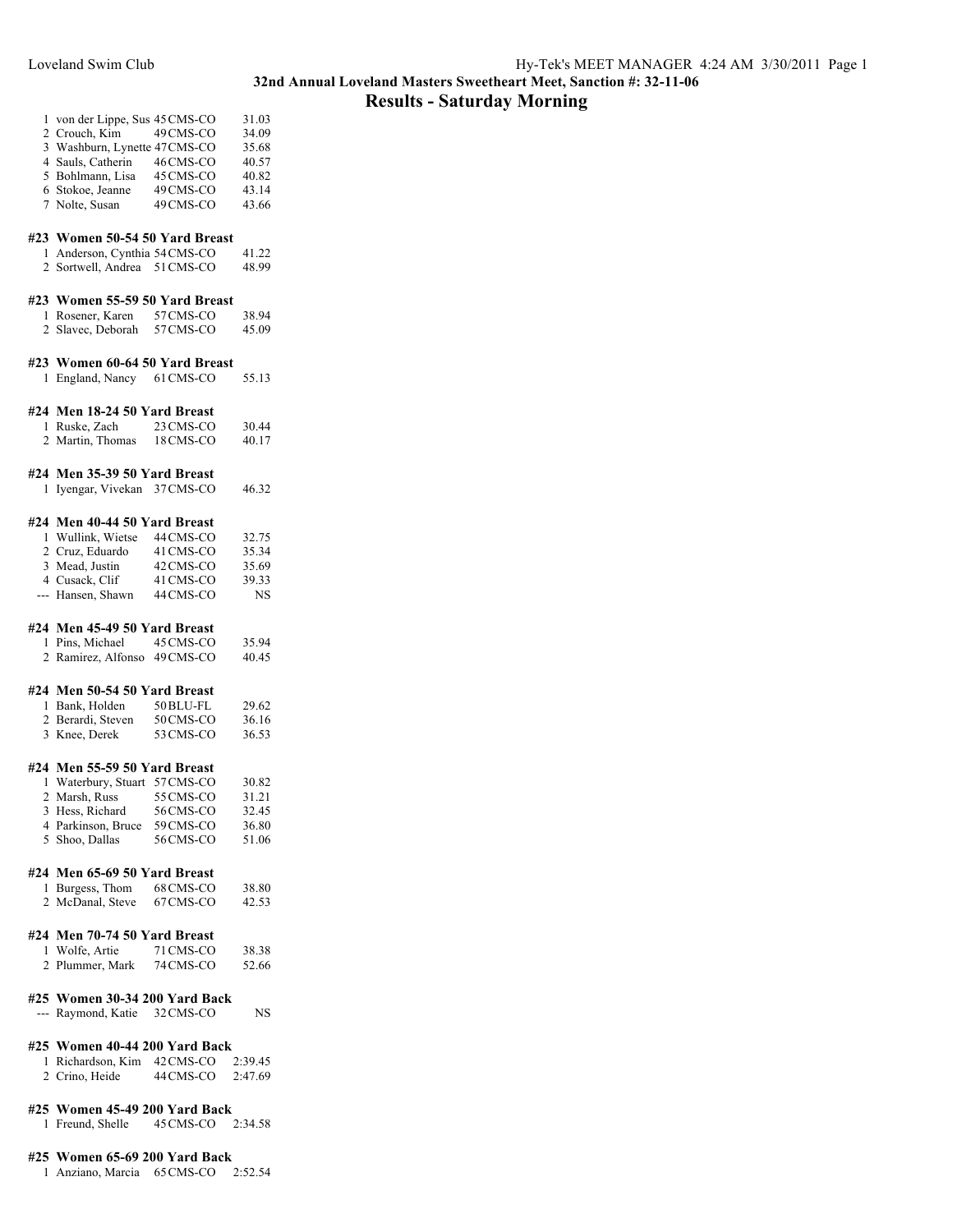## **Results - Saturday Morning**

|              | 1 von der Lippe, Sus 45 CMS-CO |           | 31.03 |
|--------------|--------------------------------|-----------|-------|
|              | 2 Crouch, Kim 49 CMS-CO        |           | 34.09 |
|              | 3 Washburn, Lynette 47CMS-CO   |           | 35.68 |
|              | 4 Sauls, Catherin              | 46 CMS-CO | 40.57 |
|              | 5 Bohlmann, Lisa 45 CMS-CO     |           | 40.82 |
|              | 6 Stokoe, Jeanne               | 49 CMS-CO | 43.14 |
|              | 7 Nolte, Susan                 | 49 CMS-CO | 43.66 |
|              |                                |           |       |
|              | #23 Women 50-54 50 Yard Breast |           |       |
|              | 1 Anderson, Cynthia 54 CMS-CO  |           | 41.22 |
|              | 2 Sortwell, Andrea 51 CMS-CO   |           | 48.99 |
|              | #23 Women 55-59 50 Yard Breast |           |       |
|              | 1 Rosener, Karen 57 CMS-CO     |           | 38.94 |
|              | 2 Slavec, Deborah 57 CMS-CO    |           | 45.09 |
|              |                                |           |       |
|              | #23 Women 60-64 50 Yard Breast |           |       |
| 1.           | England, Nancy 61 CMS-CO       |           | 55.13 |
|              | #24 Men 18-24 50 Yard Breast   |           |       |
| $\mathbf{1}$ | Ruske, Zach 23 CMS-CO          |           | 30.44 |
|              | 2 Martin, Thomas 18 CMS-CO     |           | 40.17 |
|              |                                |           |       |
|              | #24 Men 35-39 50 Yard Breast   |           |       |
| 1            | Iyengar, Vivekan 37 CMS-CO     |           | 46.32 |
|              |                                |           |       |

## **#24 Men 40-44 50 Yard Breast**

| 1 Wullink, Wietse | 44 CMS-CO | 32.75 |
|-------------------|-----------|-------|
| 2 Cruz, Eduardo   | 41 CMS-CO | 35.34 |
| 3 Mead, Justin    | 42 CMS-CO | 35.69 |
| 4 Cusack, Clif    | 41 CMS-CO | 39.33 |
| --- Hansen, Shawn | 44 CMS-CO | NS.   |

### **#24 Men 45-49 50 Yard Breast**

| 1 Pins, Michael              | 45 CMS-CO | 35.94 |
|------------------------------|-----------|-------|
| 2 Ramirez, Alfonso 49 CMS-CO |           | 40.45 |

#### **#24 Men 50-54 50 Yard Breast**

| 1 Bank, Holden    | 50 BLU-FL | 29.62 |
|-------------------|-----------|-------|
| 2 Berardi, Steven | 50 CMS-CO | 36.16 |
| 3 Knee, Derek     | 53 CMS-CO | 36.53 |

## **#24 Men 55-59 50 Yard Breast**

| 1 Waterbury, Stuart 57 CMS-CO |           | 30.82 |
|-------------------------------|-----------|-------|
| 2 Marsh, Russ                 | 55 CMS-CO | 31.21 |
| 3 Hess, Richard               | 56CMS-CO  | 32.45 |
| 4 Parkinson, Bruce            | 59 CMS-CO | 36.80 |
| 5 Shoo, Dallas                | 56 CMS-CO | 51.06 |

## **#24 Men 65-69 50 Yard Breast**

| 1 Burgess, Thom  | 68 CMS-CO | 38.80 |
|------------------|-----------|-------|
| 2 McDanal, Steve | 67 CMS-CO | 42.53 |

## **#24 Men 70-74 50 Yard Breast**

| 1 Wolfe, Artie  | 71 CMS-CO | 38.38 |
|-----------------|-----------|-------|
| 2 Plummer, Mark | 74 CMS-CO | 52.66 |

## **#25 Women 30-34 200 Yard Back**

| --- Raymond, Katie | 32 CMS-CO | NS |
|--------------------|-----------|----|
|                    |           |    |

## **#25 Women 40-44 200 Yard Back**

 Richardson, Kim 42CMS-CO 2:39.45 Crino, Heide 44CMS-CO 2:47.69

## **#25 Women 45-49 200 Yard Back**

Freund, Shelle 45CMS-CO 2:34.58

## **#25 Women 65-69 200 Yard Back**

Anziano, Marcia 65CMS-CO 2:52.54